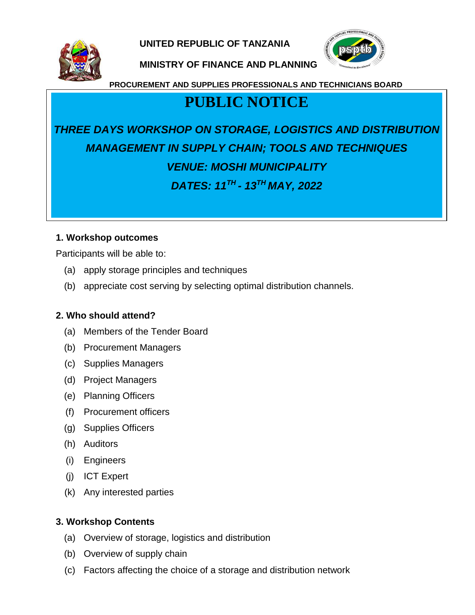**UNITED REPUBLIC OF TANZANIA**



**MINISTRY OF FINANCE AND PLANNING**



**PROCUREMENT AND SUPPLIES PROFESSIONALS AND TECHNICIANS BOARD**

## **PUBLIC NOTICE**

# *THREE DAYS WORKSHOP ON STORAGE, LOGISTICS AND DISTRIBUTION MANAGEMENT IN SUPPLY CHAIN; TOOLS AND TECHNIQUES VENUE: MOSHI MUNICIPALITY DATES: 11TH - 13TH MAY, 2022*

#### **1. Workshop outcomes**

Participants will be able to:

- (a) apply storage principles and techniques
- (b) appreciate cost serving by selecting optimal distribution channels.

#### **2. Who should attend?**

- (a) Members of the Tender Board
- (b) Procurement Managers
- (c) Supplies Managers
- (d) Project Managers
- (e) Planning Officers
- (f) Procurement officers
- (g) Supplies Officers
- (h) Auditors
- (i) Engineers
- (j) ICT Expert
- (k) Any interested parties

#### **3. Workshop Contents**

- (a) Overview of storage, logistics and distribution
- (b) Overview of supply chain
- (c) Factors affecting the choice of a storage and distribution network